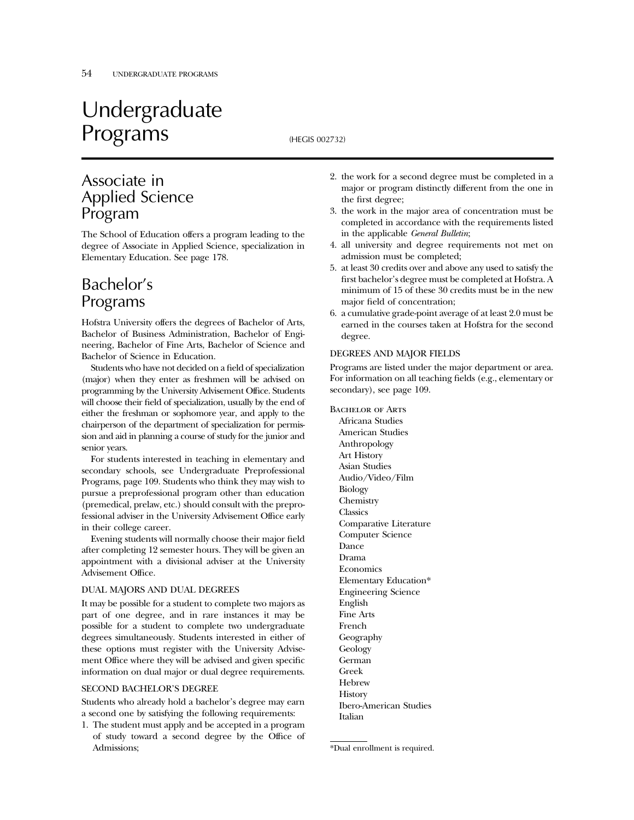# Undergraduate Programs (HEGIS 002732)

## Associate in Applied Science Program

The School of Education offers a program leading to the degree of Associate in Applied Science, specialization in Elementary Education. See page 178.

## Bachelor's Programs

Hofstra University offers the degrees of Bachelor of Arts, Bachelor of Business Administration, Bachelor of Engineering, Bachelor of Fine Arts, Bachelor of Science and Bachelor of Science in Education.

Students who have not decided on a field of specialization (major) when they enter as freshmen will be advised on programming by the University Advisement Office. Students will choose their field of specialization, usually by the end of either the freshman or sophomore year, and apply to the chairperson of the department of specialization for permission and aid in planning a course of study for the junior and senior years.

For students interested in teaching in elementary and secondary schools, see Undergraduate Preprofessional Programs, page 109. Students who think they may wish to pursue a preprofessional program other than education (premedical, prelaw, etc.) should consult with the preprofessional adviser in the University Advisement Office early in their college career.

Evening students will normally choose their major field after completing 12 semester hours. They will be given an appointment with a divisional adviser at the University Advisement Office.

#### DUAL MAJORS AND DUAL DEGREES

It may be possible for a student to complete two majors as part of one degree, and in rare instances it may be possible for a student to complete two undergraduate degrees simultaneously. Students interested in either of these options must register with the University Advisement Office where they will be advised and given specific information on dual major or dual degree requirements.

#### SECOND BACHELOR'S DEGREE

Students who already hold a bachelor's degree may earn a second one by satisfying the following requirements:

1. The student must apply and be accepted in a program of study toward a second degree by the Office of Admissions;

- 2. the work for a second degree must be completed in a major or program distinctly different from the one in the first degree;
- 3. the work in the major area of concentration must be completed in accordance with the requirements listed in the applicable *General Bulletin*;
- 4. all university and degree requirements not met on admission must be completed;
- 5. at least 30 credits over and above any used to satisfy the first bachelor's degree must be completed at Hofstra. A minimum of 15 of these 30 credits must be in the new major field of concentration;
- 6. a cumulative grade-point average of at least 2.0 must be earned in the courses taken at Hofstra for the second degree.

#### DEGREES AND MAJOR FIELDS

Programs are listed under the major department or area. For information on all teaching fields (e.g., elementary or secondary), see page 109.

Bachelor of Arts Africana Studies American Studies Anthropology Art History Asian Studies Audio/Video/Film Biology Chemistry **Classics** Comparative Literature Computer Science Dance Drama **Economics** Elementary Education\* Engineering Science English Fine Arts French Geography Geology German Greek Hebrew **History** Ibero-American Studies Italian

<sup>\*</sup>Dual enrollment is required.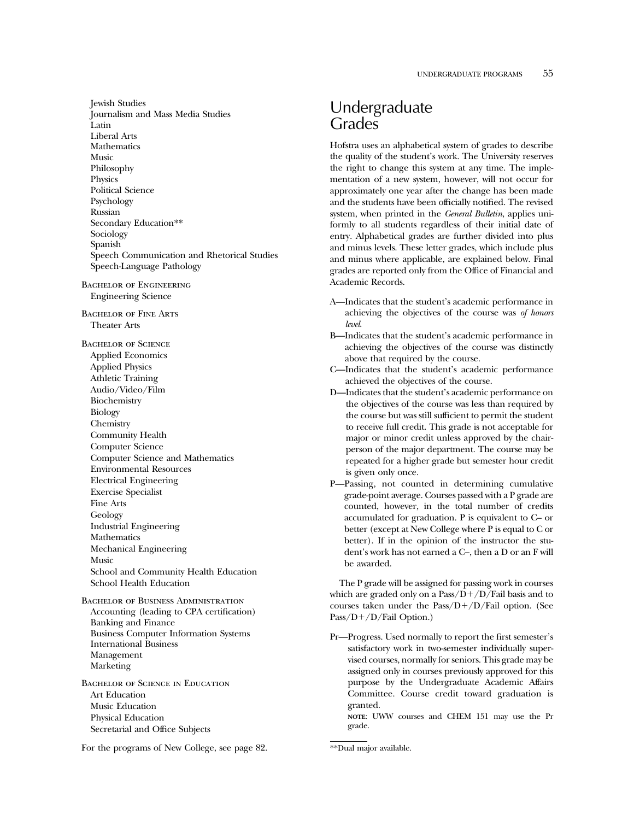Jewish Studies Journalism and Mass Media Studies Latin Liberal Arts Mathematics Music Philosophy Physics Political Science Psychology Russian Secondary Education\*\* Sociology Spanish Speech Communication and Rhetorical Studies Speech-Language Pathology Bachelor of Engineering Engineering Science Bachelor of Fine Arts Theater Arts Bachelor of Science Applied Economics Applied Physics Athletic Training Audio/Video/Film Biochemistry Biology Chemistry Community Health Computer Science Computer Science and Mathematics Environmental Resources Electrical Engineering Exercise Specialist Fine Arts Geology Industrial Engineering Mathematics Mechanical Engineering Music School and Community Health Education School Health Education Bachelor of Business Administration Accounting (leading to CPA certification) Banking and Finance Business Computer Information Systems International Business Management Marketing

Bachelor of Science in Education Art Education Music Education Physical Education Secretarial and Office Subjects

For the programs of New College, see page 82.

### Undergraduate Grades

Hofstra uses an alphabetical system of grades to describe the quality of the student's work. The University reserves the right to change this system at any time. The implementation of a new system, however, will not occur for approximately one year after the change has been made and the students have been officially notified. The revised system, when printed in the *General Bulletin*, applies uniformly to all students regardless of their initial date of entry. Alphabetical grades are further divided into plus and minus levels. These letter grades, which include plus and minus where applicable, are explained below. Final grades are reported only from the Office of Financial and Academic Records.

- A—Indicates that the student's academic performance in achieving the objectives of the course was *of honors level*.
- B—Indicates that the student's academic performance in achieving the objectives of the course was distinctly above that required by the course.
- C—Indicates that the student's academic performance achieved the objectives of the course.
- D—Indicates that the student's academic performance on the objectives of the course was less than required by the course but was still sufficient to permit the student to receive full credit. This grade is not acceptable for major or minor credit unless approved by the chairperson of the major department. The course may be repeated for a higher grade but semester hour credit is given only once.
- P—Passing, not counted in determining cumulative grade-point average. Courses passed with a P grade are counted, however, in the total number of credits accumulated for graduation. P is equivalent to C– or better (except at New College where P is equal to C or better). If in the opinion of the instructor the student's work has not earned a C–, then a D or an F will be awarded.

The P grade will be assigned for passing work in courses which are graded only on a  $Pass/D+/D/Fall$  basis and to courses taken under the  $Pass/D+/D/Fail$  option. (See Pass/ $D+/D/Fail$  Option.)

Pr—Progress. Used normally to report the first semester's satisfactory work in two-semester individually supervised courses, normally for seniors. This grade may be assigned only in courses previously approved for this purpose by the Undergraduate Academic Affairs Committee. Course credit toward graduation is granted.

**NOTE**: UWW courses and CHEM 151 may use the Pr grade.

<sup>\*\*</sup>Dual major available.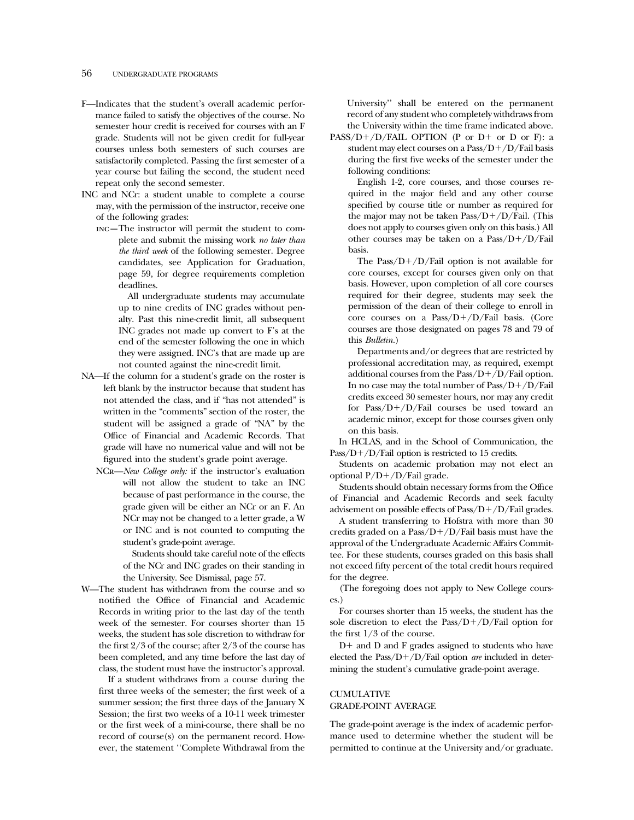#### 56 UNDERGRADUATE PROGRAMS

- F—Indicates that the student's overall academic performance failed to satisfy the objectives of the course. No semester hour credit is received for courses with an F grade. Students will not be given credit for full-year courses unless both semesters of such courses are satisfactorily completed. Passing the first semester of a year course but failing the second, the student need repeat only the second semester.
- INC and NCr: a student unable to complete a course may, with the permission of the instructor, receive one of the following grades:
	- inc—The instructor will permit the student to complete and submit the missing work *no later than the third week* of the following semester. Degree candidates, see Application for Graduation, page 59, for degree requirements completion deadlines.

All undergraduate students may accumulate up to nine credits of INC grades without penalty. Past this nine-credit limit, all subsequent INC grades not made up convert to F's at the end of the semester following the one in which they were assigned. INC's that are made up are not counted against the nine-credit limit.

- NA—If the column for a student's grade on the roster is left blank by the instructor because that student has not attended the class, and if "has not attended" is written in the "comments" section of the roster, the student will be assigned a grade of "NA" by the Office of Financial and Academic Records. That grade will have no numerical value and will not be figured into the student's grade point average.
	- NCr—*New College only:* if the instructor's evaluation will not allow the student to take an INC because of past performance in the course, the grade given will be either an NCr or an F. An NCr may not be changed to a letter grade, a W or INC and is not counted to computing the student's grade-point average.

Students should take careful note of the effects of the NCr and INC grades on their standing in the University. See Dismissal, page 57.

W—The student has withdrawn from the course and so notified the Office of Financial and Academic Records in writing prior to the last day of the tenth week of the semester. For courses shorter than 15 weeks, the student has sole discretion to withdraw for the first 2/3 of the course; after 2/3 of the course has been completed, and any time before the last day of class, the student must have the instructor's approval.

If a student withdraws from a course during the first three weeks of the semester; the first week of a summer session; the first three days of the January X Session; the first two weeks of a 10-11 week trimester or the first week of a mini-course, there shall be no record of course(s) on the permanent record. However, the statement ''Complete Withdrawal from the

University'' shall be entered on the permanent record of any student who completely withdraws from the University within the time frame indicated above.

PASS/D+/D/FAIL OPTION (P or D+ or D or F): a student may elect courses on a  $Pass/D+/D/Fall \ basis$ during the first five weeks of the semester under the following conditions:

English 1-2, core courses, and those courses required in the major field and any other course specified by course title or number as required for the major may not be taken  $Pass/D+/D/Fall$ . (This does not apply to courses given only on this basis.) All other courses may be taken on a  $Pass/D+/D/Fall$ basis.

The Pass/ $D+/D/Fail$  option is not available for core courses, except for courses given only on that basis. However, upon completion of all core courses required for their degree, students may seek the permission of the dean of their college to enroll in core courses on a  $Pass/D+/D/Fall$  basis. (Core courses are those designated on pages 78 and 79 of this *Bulletin.*)

Departments and/or degrees that are restricted by professional accreditation may, as required, exempt additional courses from the  $Pass/D+/D/Fail$  option. In no case may the total number of  $Pass/D+/D/Fall$ credits exceed 30 semester hours, nor may any credit for Pass/ $D+/D/Fail$  courses be used toward an academic minor, except for those courses given only on this basis.

In HCLAS, and in the School of Communication, the Pass/ $D+/D$ /Fail option is restricted to 15 credits.

Students on academic probation may not elect an optional  $P/D+/D/Fail$  grade.

Students should obtain necessary forms from the Office of Financial and Academic Records and seek faculty advisement on possible effects of  $Pass/D+/D/Fail$  grades.

A student transferring to Hofstra with more than 30 credits graded on a  $Pass/D+/D/Fall$  basis must have the approval of the Undergraduate Academic Affairs Committee. For these students, courses graded on this basis shall not exceed fifty percent of the total credit hours required for the degree.

(The foregoing does not apply to New College courses.)

For courses shorter than 15 weeks, the student has the sole discretion to elect the Pass/ $D+/D/F$ ail option for the first 1/3 of the course.

 $D+$  and  $D$  and  $F$  grades assigned to students who have elected the Pass/D+/D/Fail option *are* included in determining the student's cumulative grade-point average.

#### CUMULATIVE GRADE-POINT AVERAGE

The grade-point average is the index of academic performance used to determine whether the student will be permitted to continue at the University and/or graduate.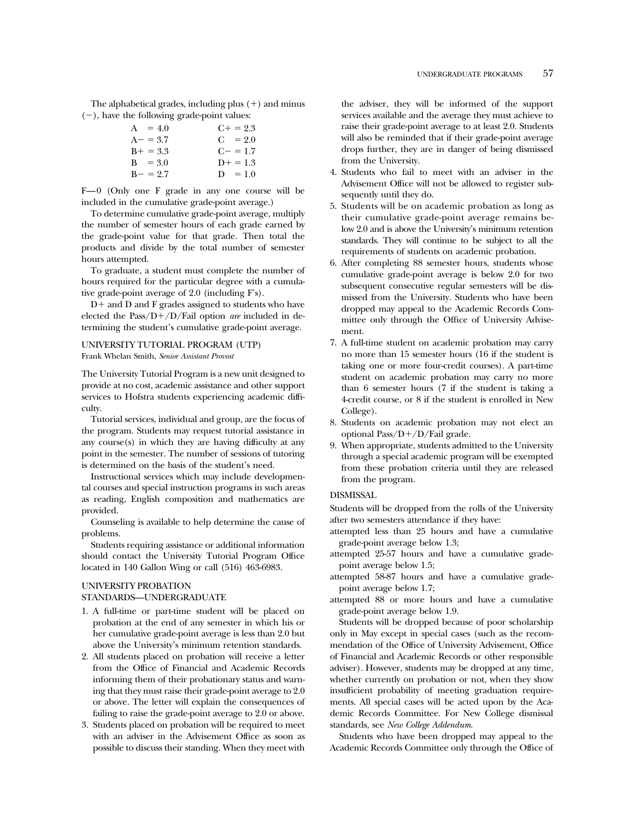The alphabetical grades, including plus  $(+)$  and minus  $(-)$ , have the following grade-point values:

| $A = 4.0$   | $C_{+} = 2.3$ |
|-------------|---------------|
| $A - = 3.7$ | $C = 2.0$     |
| $B+ = 3.3$  | $C = 1.7$     |
| $B = 3.0$   | $D+ = 1.3$    |
| $B - = 2.7$ | $D = 1.0$     |

F—0 (Only one F grade in any one course will be included in the cumulative grade-point average.)

To determine cumulative grade-point average, multiply the number of semester hours of each grade earned by the grade-point value for that grade. Then total the products and divide by the total number of semester hours attempted.

To graduate, a student must complete the number of hours required for the particular degree with a cumulative grade-point average of 2.0 (including F's).

 $D+$  and  $D$  and  $F$  grades assigned to students who have elected the Pass/D+/D/Fail option *are* included in determining the student's cumulative grade-point average.

#### UNIVERSITY TUTORIAL PROGRAM (UTP) Frank Whelan Smith, *Senior Assistant Provost*

The University Tutorial Program is a new unit designed to provide at no cost, academic assistance and other support services to Hofstra students experiencing academic difficulty.

Tutorial services, individual and group, are the focus of the program. Students may request tutorial assistance in any course(s) in which they are having difficulty at any point in the semester. The number of sessions of tutoring is determined on the basis of the student's need.

Instructional services which may include developmental courses and special instruction programs in such areas as reading, English composition and mathematics are provided.

Counseling is available to help determine the cause of problems.

Students requiring assistance or additional information should contact the University Tutorial Program Office located in 140 Gallon Wing or call (516) 463-6983.

#### UNIVERSITY PROBATION STANDARDS—UNDERGRADUATE

- 1. A full-time or part-time student will be placed on probation at the end of any semester in which his or her cumulative grade-point average is less than 2.0 but above the University's minimum retention standards.
- 2. All students placed on probation will receive a letter from the Office of Financial and Academic Records informing them of their probationary status and warning that they must raise their grade-point average to 2.0 or above. The letter will explain the consequences of failing to raise the grade-point average to 2.0 or above.
- 3. Students placed on probation will be required to meet with an adviser in the Advisement Office as soon as possible to discuss their standing. When they meet with

the adviser, they will be informed of the support services available and the average they must achieve to raise their grade-point average to at least 2.0. Students will also be reminded that if their grade-point average drops further, they are in danger of being dismissed from the University.

- 4. Students who fail to meet with an adviser in the Advisement Office will not be allowed to register subsequently until they do.
- 5. Students will be on academic probation as long as their cumulative grade-point average remains below 2.0 and is above the University's minimum retention standards. They will continue to be subject to all the requirements of students on academic probation.
- 6. After completing 88 semester hours, students whose cumulative grade-point average is below 2.0 for two subsequent consecutive regular semesters will be dismissed from the University. Students who have been dropped may appeal to the Academic Records Committee only through the Office of University Advisement.
- 7. A full-time student on academic probation may carry no more than 15 semester hours (16 if the student is taking one or more four-credit courses). A part-time student on academic probation may carry no more than 6 semester hours (7 if the student is taking a 4-credit course, or 8 if the student is enrolled in New College).
- 8. Students on academic probation may not elect an optional Pass/ $D+/D$ /Fail grade.
- 9. When appropriate, students admitted to the University through a special academic program will be exempted from these probation criteria until they are released from the program.

#### DISMISSAL

Students will be dropped from the rolls of the University after two semesters attendance if they have:

- attempted less than 25 hours and have a cumulative grade-point average below 1.3;
- attempted 25-57 hours and have a cumulative gradepoint average below 1.5;
- attempted 58-87 hours and have a cumulative gradepoint average below 1.7;
- attempted 88 or more hours and have a cumulative grade-point average below 1.9.

Students will be dropped because of poor scholarship only in May except in special cases (such as the recommendation of the Office of University Advisement, Office of Financial and Academic Records or other responsible adviser). However, students may be dropped at any time, whether currently on probation or not, when they show insufficient probability of meeting graduation requirements. All special cases will be acted upon by the Academic Records Committee. For New College dismissal standards, see *New College Addendum*.

Students who have been dropped may appeal to the Academic Records Committee only through the Office of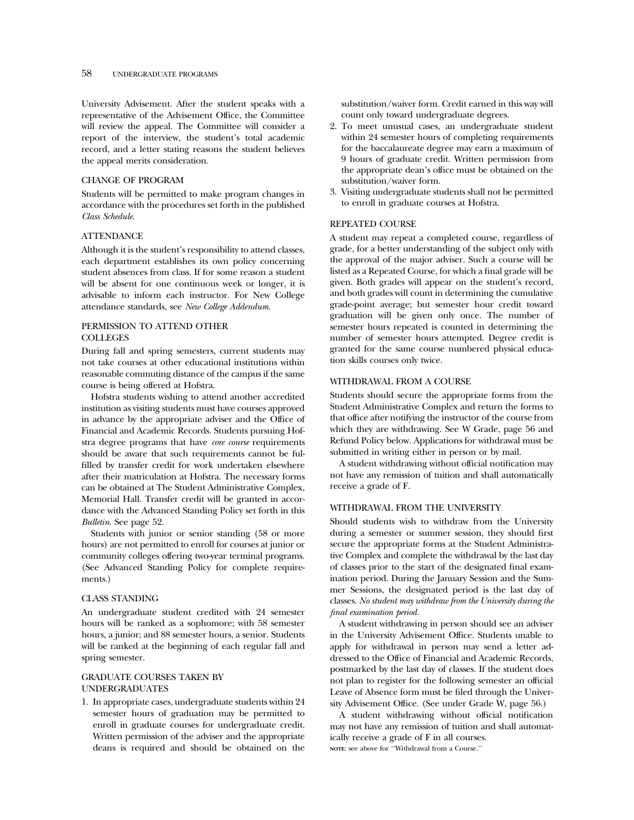#### 58 UNDERGRADUATE PROGRAMS

University Advisement. After the student speaks with a representative of the Advisement Office, the Committee will review the appeal. The Committee will consider a report of the interview, the student's total academic record, and a letter stating reasons the student believes the appeal merits consideration.

#### CHANGE OF PROGRAM

Students will be permitted to make program changes in accordance with the procedures set forth in the published *Class Schedule*.

#### **ATTENDANCE**

Although it is the student's responsibility to attend classes, each department establishes its own policy concerning student absences from class. If for some reason a student will be absent for one continuous week or longer, it is advisable to inform each instructor. For New College attendance standards, see *New College Addendum*.

### PERMISSION TO ATTEND OTHER COLLEGES

During fall and spring semesters, current students may not take courses at other educational institutions within reasonable commuting distance of the campus if the same course is being offered at Hofstra.

Hofstra students wishing to attend another accredited institution as visiting students must have courses approved in advance by the appropriate adviser and the Office of Financial and Academic Records. Students pursuing Hofstra degree programs that have *core course* requirements should be aware that such requirements cannot be fulfilled by transfer credit for work undertaken elsewhere after their matriculation at Hofstra. The necessary forms can be obtained at The Student Administrative Complex, Memorial Hall. Transfer credit will be granted in accordance with the Advanced Standing Policy set forth in this *Bulletin*. See page 52.

Students with junior or senior standing (58 or more hours) are not permitted to enroll for courses at junior or community colleges offering two-year terminal programs. (See Advanced Standing Policy for complete requirements.)

#### CLASS STANDING

An undergraduate student credited with 24 semester hours will be ranked as a sophomore; with 58 semester hours, a junior; and 88 semester hours, a senior. Students will be ranked at the beginning of each regular fall and spring semester.

#### GRADUATE COURSES TAKEN BY UNDERGRADUATES

1. In appropriate cases, undergraduate students within 24 semester hours of graduation may be permitted to enroll in graduate courses for undergraduate credit. Written permission of the adviser and the appropriate deans is required and should be obtained on the substitution/waiver form. Credit earned in this way will count only toward undergraduate degrees.

- 2. To meet unusual cases, an undergraduate student within 24 semester hours of completing requirements for the baccalaureate degree may earn a maximum of 9 hours of graduate credit. Written permission from the appropriate dean's office must be obtained on the substitution/waiver form.
- 3. Visiting undergraduate students shall not be permitted to enroll in graduate courses at Hofstra.

#### REPEATED COURSE

A student may repeat a completed course, regardless of grade, for a better understanding of the subject only with the approval of the major adviser. Such a course will be listed as a Repeated Course, for which a final grade will be given. Both grades will appear on the student's record, and both grades will count in determining the cumulative grade-point average; but semester hour credit toward graduation will be given only once. The number of semester hours repeated is counted in determining the number of semester hours attempted. Degree credit is granted for the same course numbered physical education skills courses only twice.

#### WITHDRAWAL FROM A COURSE

Students should secure the appropriate forms from the Student Administrative Complex and return the forms to that office after notifying the instructor of the course from which they are withdrawing. See W Grade, page 56 and Refund Policy below. Applications for withdrawal must be submitted in writing either in person or by mail.

A student withdrawing without official notification may not have any remission of tuition and shall automatically receive a grade of F.

#### WITHDRAWAL FROM THE UNIVERSITY

Should students wish to withdraw from the University during a semester or summer session, they should first secure the appropriate forms at the Student Administrative Complex and complete the withdrawal by the last day of classes prior to the start of the designated final examination period. During the January Session and the Summer Sessions, the designated period is the last day of classes. *No student may withdraw from the University during the final examination period.*

A student withdrawing in person should see an adviser in the University Advisement Office. Students unable to apply for withdrawal in person may send a letter addressed to the Office of Financial and Academic Records, postmarked by the last day of classes. If the student does not plan to register for the following semester an official Leave of Absence form must be filed through the University Advisement Office. (See under Grade W, page 56.)

A student withdrawing without official notification may not have any remission of tuition and shall automatically receive a grade of F in all courses. **NOTE**: see above for ''Withdrawal from a Course.''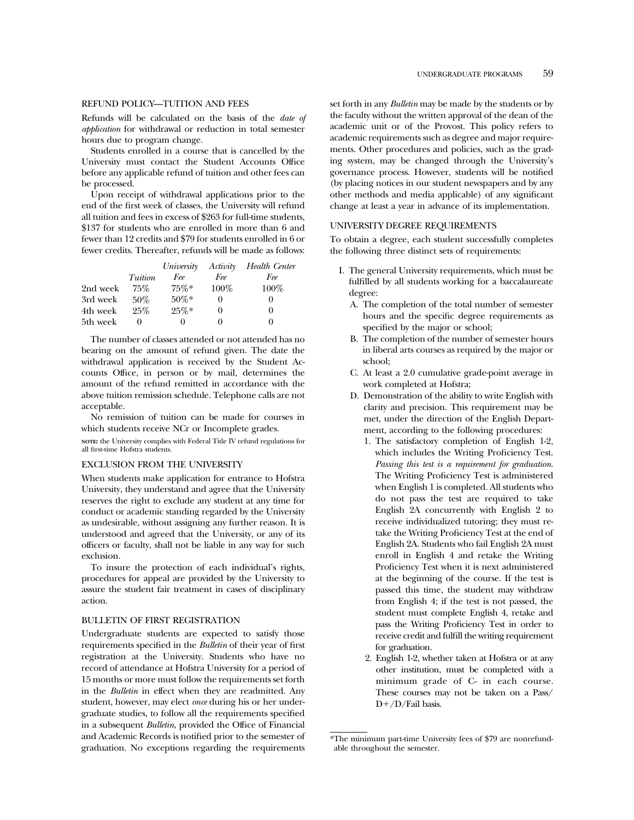#### REFUND POLICY—TUITION AND FEES

Refunds will be calculated on the basis of the *date of application* for withdrawal or reduction in total semester hours due to program change.

Students enrolled in a course that is cancelled by the University must contact the Student Accounts Office before any applicable refund of tuition and other fees can be processed.

Upon receipt of withdrawal applications prior to the end of the first week of classes, the University will refund all tuition and fees in excess of \$263 for full-time students, \$137 for students who are enrolled in more than 6 and fewer than 12 credits and \$79 for students enrolled in 6 or fewer credits. Thereafter, refunds will be made as follows:

|          |         | University | Activity | Health Center |
|----------|---------|------------|----------|---------------|
|          | Tuition | Fee        | Fee      | Fee           |
| 2nd week | 75%     | $75\%*$    | $100\%$  | $100\%$       |
| 3rd week | $50\%$  | $50\%*$    | 0        | $\theta$      |
| 4th week | 25%     | $25\%*$    | 0        | $\theta$      |
| 5th week |         |            | $_{0}$   | $_{0}$        |

The number of classes attended or not attended has no bearing on the amount of refund given. The date the withdrawal application is received by the Student Accounts Office, in person or by mail, determines the amount of the refund remitted in accordance with the above tuition remission schedule. Telephone calls are not acceptable.

No remission of tuition can be made for courses in which students receive NCr or Incomplete grades.

**NOTE:** the University complies with Federal Title IV refund regulations for all first-time Hofstra students.

#### EXCLUSION FROM THE UNIVERSITY

When students make application for entrance to Hofstra University, they understand and agree that the University reserves the right to exclude any student at any time for conduct or academic standing regarded by the University as undesirable, without assigning any further reason. It is understood and agreed that the University, or any of its officers or faculty, shall not be liable in any way for such exclusion.

To insure the protection of each individual's rights, procedures for appeal are provided by the University to assure the student fair treatment in cases of disciplinary action.

#### BULLETIN OF FIRST REGISTRATION

Undergraduate students are expected to satisfy those requirements specified in the *Bulletin* of their year of first registration at the University. Students who have no record of attendance at Hofstra University for a period of 15 months or more must follow the requirements set forth in the *Bulletin* in effect when they are readmitted. Any student, however, may elect *once* during his or her undergraduate studies, to follow all the requirements specified in a subsequent *Bulletin*, provided the Office of Financial and Academic Records is notified prior to the semester of graduation. No exceptions regarding the requirements set forth in any *Bulletin* may be made by the students or by the faculty without the written approval of the dean of the academic unit or of the Provost. This policy refers to academic requirements such as degree and major requirements. Other procedures and policies, such as the grading system, may be changed through the University's governance process. However, students will be notified (by placing notices in our student newspapers and by any other methods and media applicable) of any significant change at least a year in advance of its implementation.

#### UNIVERSITY DEGREE REQUIREMENTS

To obtain a degree, each student successfully completes the following three distinct sets of requirements:

- I. The general University requirements, which must be fulfilled by all students working for a baccalaureate degree:
	- A. The completion of the total number of semester hours and the specific degree requirements as specified by the major or school;
	- B. The completion of the number of semester hours in liberal arts courses as required by the major or school;
	- C. At least a 2.0 cumulative grade-point average in work completed at Hofstra;
	- D. Demonstration of the ability to write English with clarity and precision. This requirement may be met, under the direction of the English Department, according to the following procedures:
		- 1. The satisfactory completion of English 1-2, which includes the Writing Proficiency Test. *Passing this test is a requirement for graduation*. The Writing Proficiency Test is administered when English 1 is completed. All students who do not pass the test are required to take English 2A concurrently with English 2 to receive individualized tutoring; they must retake the Writing Proficiency Test at the end of English 2A. Students who fail English 2A must enroll in English 4 and retake the Writing Proficiency Test when it is next administered at the beginning of the course. If the test is passed this time, the student may withdraw from English 4; if the test is not passed, the student must complete English 4, retake and pass the Writing Proficiency Test in order to receive credit and fulfill the writing requirement for graduation.
		- 2. English 1-2, whether taken at Hofstra or at any other institution, must be completed with a minimum grade of C- in each course. These courses may not be taken on a Pass/  $D+/D/Fail$  basis.

<sup>\*</sup>The minimum part-time University fees of \$79 are nonrefundable throughout the semester.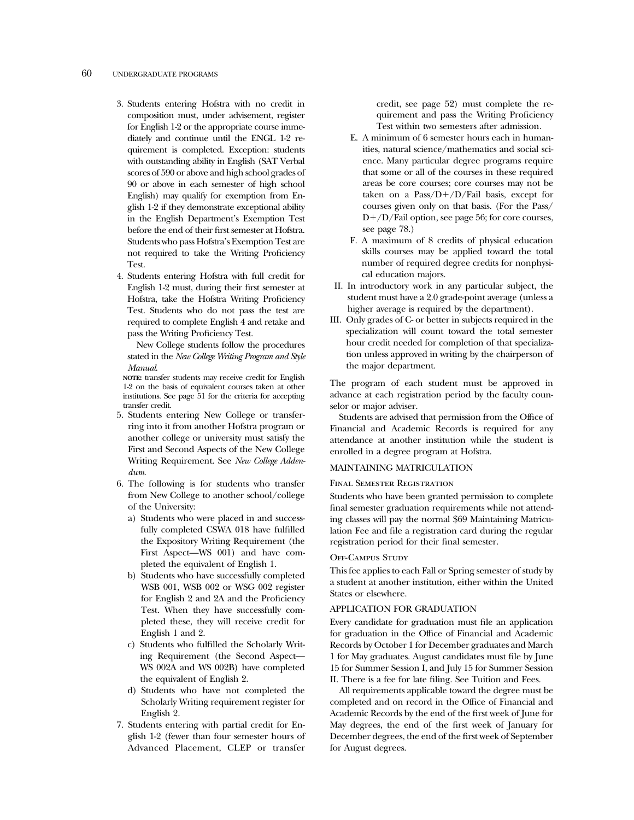#### 60 UNDERGRADUATE PROGRAMS

- 3. Students entering Hofstra with no credit in composition must, under advisement, register for English 1-2 or the appropriate course immediately and continue until the ENGL 1-2 requirement is completed. Exception: students with outstanding ability in English (SAT Verbal scores of 590 or above and high school grades of 90 or above in each semester of high school English) may qualify for exemption from English 1-2 if they demonstrate exceptional ability in the English Department's Exemption Test before the end of their first semester at Hofstra. Students who pass Hofstra's Exemption Test are not required to take the Writing Proficiency Test.
- 4. Students entering Hofstra with full credit for English 1-2 must, during their first semester at Hofstra, take the Hofstra Writing Proficiency Test. Students who do not pass the test are required to complete English 4 and retake and pass the Writing Proficiency Test.

New College students follow the procedures stated in the *New College Writing Program and Style Manual*.

**NOTE:** transfer students may receive credit for English 1-2 on the basis of equivalent courses taken at other institutions. See page 51 for the criteria for accepting transfer credit.

- 5. Students entering New College or transferring into it from another Hofstra program or another college or university must satisfy the First and Second Aspects of the New College Writing Requirement. See *New College Addendum*.
- 6. The following is for students who transfer from New College to another school/college of the University:
	- a) Students who were placed in and successfully completed CSWA 018 have fulfilled the Expository Writing Requirement (the First Aspect—WS 001) and have completed the equivalent of English 1.
	- b) Students who have successfully completed WSB 001, WSB 002 or WSG 002 register for English 2 and 2A and the Proficiency Test. When they have successfully completed these, they will receive credit for English 1 and 2.
	- c) Students who fulfilled the Scholarly Writing Requirement (the Second Aspect— WS 002A and WS 002B) have completed the equivalent of English 2.
	- d) Students who have not completed the Scholarly Writing requirement register for English 2.
- 7. Students entering with partial credit for English 1-2 (fewer than four semester hours of Advanced Placement, CLEP or transfer

credit, see page 52) must complete the requirement and pass the Writing Proficiency Test within two semesters after admission.

- E. A minimum of 6 semester hours each in humanities, natural science/mathematics and social science. Many particular degree programs require that some or all of the courses in these required areas be core courses; core courses may not be taken on a Pass/ $D+/D/F$ ail basis, except for courses given only on that basis. (For the Pass/  $D+/D$ /Fail option, see page 56; for core courses, see page 78.)
- F. A maximum of 8 credits of physical education skills courses may be applied toward the total number of required degree credits for nonphysical education majors.
- II. In introductory work in any particular subject, the student must have a 2.0 grade-point average (unless a higher average is required by the department).
- III. Only grades of C- or better in subjects required in the specialization will count toward the total semester hour credit needed for completion of that specialization unless approved in writing by the chairperson of the major department.

The program of each student must be approved in advance at each registration period by the faculty counselor or major adviser.

Students are advised that permission from the Office of Financial and Academic Records is required for any attendance at another institution while the student is enrolled in a degree program at Hofstra.

#### MAINTAINING MATRICULATION

#### Final Semester Registration

Students who have been granted permission to complete final semester graduation requirements while not attending classes will pay the normal \$69 Maintaining Matriculation Fee and file a registration card during the regular registration period for their final semester.

#### Off-Campus Study

This fee applies to each Fall or Spring semester of study by a student at another institution, either within the United States or elsewhere.

#### APPLICATION FOR GRADUATION

Every candidate for graduation must file an application for graduation in the Office of Financial and Academic Records by October 1 for December graduates and March 1 for May graduates. August candidates must file by June 15 for Summer Session I, and July 15 for Summer Session II. There is a fee for late filing. See Tuition and Fees.

All requirements applicable toward the degree must be completed and on record in the Office of Financial and Academic Records by the end of the first week of June for May degrees, the end of the first week of January for December degrees, the end of the first week of September for August degrees.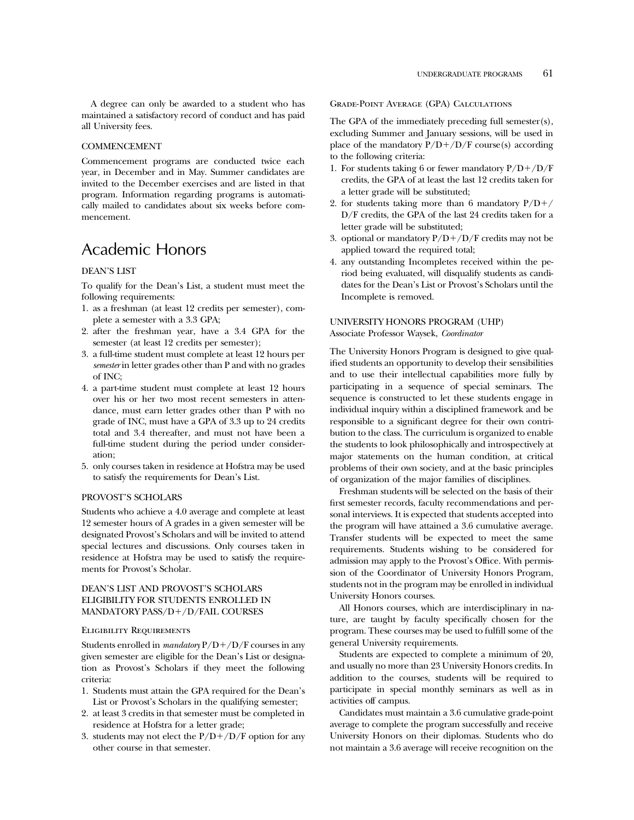A degree can only be awarded to a student who has maintained a satisfactory record of conduct and has paid all University fees.

#### COMMENCEMENT

Commencement programs are conducted twice each year, in December and in May. Summer candidates are invited to the December exercises and are listed in that program. Information regarding programs is automatically mailed to candidates about six weeks before commencement.

### Academic Honors

#### DEAN'S LIST

To qualify for the Dean's List, a student must meet the following requirements:

- 1. as a freshman (at least 12 credits per semester), complete a semester with a 3.3 GPA;
- 2. after the freshman year, have a 3.4 GPA for the semester (at least 12 credits per semester);
- 3. a full-time student must complete at least 12 hours per *semester* in letter grades other than P and with no grades of INC;
- 4. a part-time student must complete at least 12 hours over his or her two most recent semesters in attendance, must earn letter grades other than P with no grade of INC, must have a GPA of 3.3 up to 24 credits total and 3.4 thereafter, and must not have been a full-time student during the period under consideration;
- 5. only courses taken in residence at Hofstra may be used to satisfy the requirements for Dean's List.

#### PROVOST'S SCHOLARS

Students who achieve a 4.0 average and complete at least 12 semester hours of A grades in a given semester will be designated Provost's Scholars and will be invited to attend special lectures and discussions. Only courses taken in residence at Hofstra may be used to satisfy the requirements for Provost's Scholar.

#### DEAN'S LIST AND PROVOST'S SCHOLARS ELIGIBILITY FOR STUDENTS ENROLLED IN MANDATORY PASS/D+/D/FAIL COURSES

#### Eligibility Requirements

Students enrolled in *mandatory*  $P/D + /D/F$  courses in any given semester are eligible for the Dean's List or designation as Provost's Scholars if they meet the following criteria:

- 1. Students must attain the GPA required for the Dean's List or Provost's Scholars in the qualifying semester;
- 2. at least 3 credits in that semester must be completed in residence at Hofstra for a letter grade;
- 3. students may not elect the  $P/D+/D/F$  option for any other course in that semester.

Grade-Point Average (GPA) Calculations

The GPA of the immediately preceding full semester(s), excluding Summer and January sessions, will be used in place of the mandatory  $P/D+/D/F$  course(s) according to the following criteria:

- 1. For students taking 6 or fewer mandatory  $P/D+/D/F$ credits, the GPA of at least the last 12 credits taken for a letter grade will be substituted;
- 2. for students taking more than 6 mandatory  $P/D+/$ D/F credits, the GPA of the last 24 credits taken for a letter grade will be substituted;
- 3. optional or mandatory  $P/D+/D/F$  credits may not be applied toward the required total;
- 4. any outstanding Incompletes received within the period being evaluated, will disqualify students as candidates for the Dean's List or Provost's Scholars until the Incomplete is removed.

#### UNIVERSITY HONORS PROGRAM (UHP) Associate Professor Waysek, *Coordinator*

The University Honors Program is designed to give qualified students an opportunity to develop their sensibilities and to use their intellectual capabilities more fully by participating in a sequence of special seminars. The sequence is constructed to let these students engage in individual inquiry within a disciplined framework and be responsible to a significant degree for their own contribution to the class. The curriculum is organized to enable the students to look philosophically and introspectively at major statements on the human condition, at critical problems of their own society, and at the basic principles of organization of the major families of disciplines.

Freshman students will be selected on the basis of their first semester records, faculty recommendations and personal interviews. It is expected that students accepted into the program will have attained a 3.6 cumulative average. Transfer students will be expected to meet the same requirements. Students wishing to be considered for admission may apply to the Provost's Office. With permission of the Coordinator of University Honors Program, students not in the program may be enrolled in individual University Honors courses.

All Honors courses, which are interdisciplinary in nature, are taught by faculty specifically chosen for the program. These courses may be used to fulfill some of the general University requirements.

Students are expected to complete a minimum of 20, and usually no more than 23 University Honors credits. In addition to the courses, students will be required to participate in special monthly seminars as well as in activities off campus.

Candidates must maintain a 3.6 cumulative grade-point average to complete the program successfully and receive University Honors on their diplomas. Students who do not maintain a 3.6 average will receive recognition on the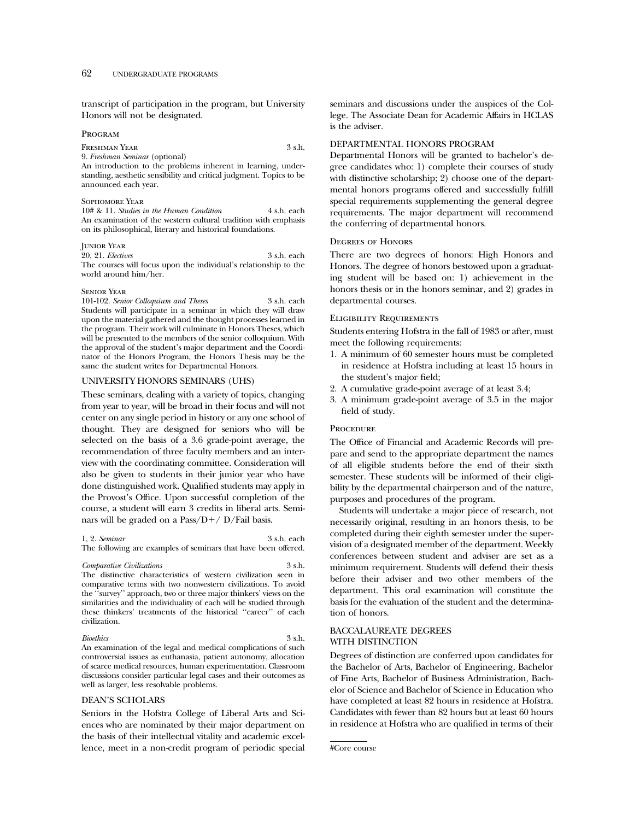transcript of participation in the program, but University Honors will not be designated.

#### Program

FRESHMAN YEAR 3 s.h.

9. *Freshman Seminar* (optional)

An introduction to the problems inherent in learning, understanding, aesthetic sensibility and critical judgment. Topics to be announced each year.

#### Sophomore Year

10# & 11. *Studies in the Human Condition* 4 s.h. each An examination of the western cultural tradition with emphasis on its philosophical, literary and historical foundations.

#### **JUNIOR YEAR**

20, 21. *Electives* 3 s.h. each The courses will focus upon the individual's relationship to the world around him/her.

#### Senior Year

101-102. *Senior Colloquium and Theses* 3 s.h. each Students will participate in a seminar in which they will draw upon the material gathered and the thought processes learned in the program. Their work will culminate in Honors Theses, which will be presented to the members of the senior colloquium. With the approval of the student's major department and the Coordinator of the Honors Program, the Honors Thesis may be the same the student writes for Departmental Honors.

#### UNIVERSITY HONORS SEMINARS (UHS)

These seminars, dealing with a variety of topics, changing from year to year, will be broad in their focus and will not center on any single period in history or any one school of thought. They are designed for seniors who will be selected on the basis of a 3.6 grade-point average, the recommendation of three faculty members and an interview with the coordinating committee. Consideration will also be given to students in their junior year who have done distinguished work. Qualified students may apply in the Provost's Office. Upon successful completion of the course, a student will earn 3 credits in liberal arts. Seminars will be graded on a Pass/ $D+$ / D/Fail basis.

1, 2. *Seminar* 3 s.h. each The following are examples of seminars that have been offered.

*Comparative Civilizations* The distinctive characteristics of western civilization seen in comparative terms with two nonwestern civilizations. To avoid the ''survey'' approach, two or three major thinkers' views on the similarities and the individuality of each will be studied through these thinkers' treatments of the historical ''career'' of each civilization.

#### *Bioethics* 3 s.h.

An examination of the legal and medical complications of such controversial issues as euthanasia, patient autonomy, allocation of scarce medical resources, human experimentation. Classroom discussions consider particular legal cases and their outcomes as well as larger, less resolvable problems.

#### DEAN'S SCHOLARS

Seniors in the Hofstra College of Liberal Arts and Sciences who are nominated by their major department on the basis of their intellectual vitality and academic excellence, meet in a non-credit program of periodic special

seminars and discussions under the auspices of the College. The Associate Dean for Academic Affairs in HCLAS is the adviser.

#### DEPARTMENTAL HONORS PROGRAM

Departmental Honors will be granted to bachelor's degree candidates who: 1) complete their courses of study with distinctive scholarship; 2) choose one of the departmental honors programs offered and successfully fulfill special requirements supplementing the general degree requirements. The major department will recommend the conferring of departmental honors.

#### Degrees of Honors

There are two degrees of honors: High Honors and Honors. The degree of honors bestowed upon a graduating student will be based on: 1) achievement in the honors thesis or in the honors seminar, and 2) grades in departmental courses.

#### Eligibility Requirements

Students entering Hofstra in the fall of 1983 or after, must meet the following requirements:

- 1. A minimum of 60 semester hours must be completed in residence at Hofstra including at least 15 hours in the student's major field;
- 2. A cumulative grade-point average of at least 3.4;
- 3. A minimum grade-point average of 3.5 in the major field of study.

#### **PROCEDURE**

The Office of Financial and Academic Records will prepare and send to the appropriate department the names of all eligible students before the end of their sixth semester. These students will be informed of their eligibility by the departmental chairperson and of the nature, purposes and procedures of the program.

Students will undertake a major piece of research, not necessarily original, resulting in an honors thesis, to be completed during their eighth semester under the supervision of a designated member of the department. Weekly conferences between student and adviser are set as a minimum requirement. Students will defend their thesis before their adviser and two other members of the department. This oral examination will constitute the basis for the evaluation of the student and the determination of honors.

#### BACCALAUREATE DEGREES WITH DISTINCTION

Degrees of distinction are conferred upon candidates for the Bachelor of Arts, Bachelor of Engineering, Bachelor of Fine Arts, Bachelor of Business Administration, Bachelor of Science and Bachelor of Science in Education who have completed at least 82 hours in residence at Hofstra. Candidates with fewer than 82 hours but at least 60 hours in residence at Hofstra who are qualified in terms of their

<sup>#</sup>Core course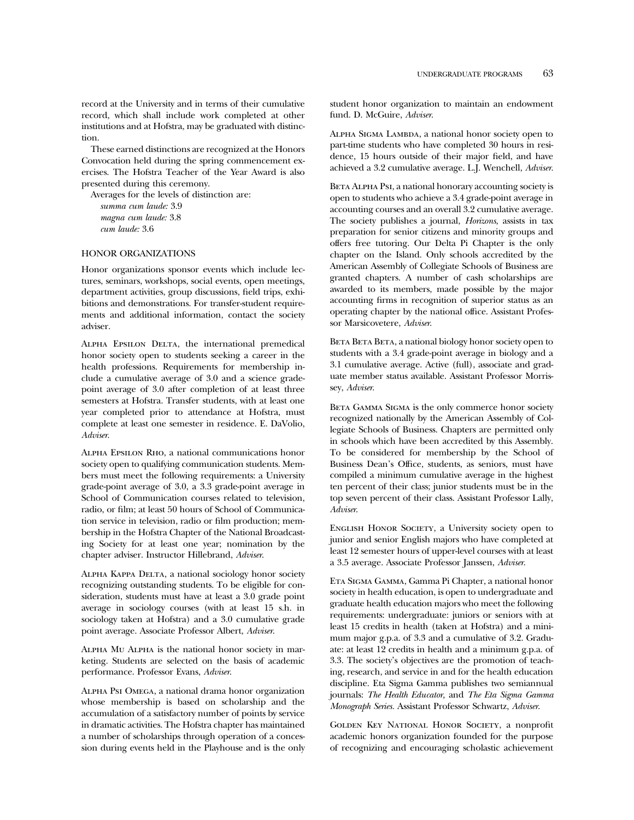record at the University and in terms of their cumulative record, which shall include work completed at other institutions and at Hofstra, may be graduated with distinction.

These earned distinctions are recognized at the Honors Convocation held during the spring commencement exercises. The Hofstra Teacher of the Year Award is also presented during this ceremony.

Averages for the levels of distinction are:

```
summa cum laude: 3.9
magna cum laude: 3.8
cum laude: 3.6
```
#### HONOR ORGANIZATIONS

Honor organizations sponsor events which include lectures, seminars, workshops, social events, open meetings, department activities, group discussions, field trips, exhibitions and demonstrations. For transfer-student requirements and additional information, contact the society adviser.

Alpha Epsilon Delta, the international premedical honor society open to students seeking a career in the health professions. Requirements for membership include a cumulative average of 3.0 and a science gradepoint average of 3.0 after completion of at least three semesters at Hofstra. Transfer students, with at least one year completed prior to attendance at Hofstra, must complete at least one semester in residence. E. DaVolio, *Adviser*.

Alpha Epsilon Rho, a national communications honor society open to qualifying communication students. Members must meet the following requirements: a University grade-point average of 3.0, a 3.3 grade-point average in School of Communication courses related to television, radio, or film; at least 50 hours of School of Communication service in television, radio or film production; membership in the Hofstra Chapter of the National Broadcasting Society for at least one year; nomination by the chapter adviser. Instructor Hillebrand, *Adviser*.

Alpha Kappa Delta, a national sociology honor society recognizing outstanding students. To be eligible for consideration, students must have at least a 3.0 grade point average in sociology courses (with at least 15 s.h. in sociology taken at Hofstra) and a 3.0 cumulative grade point average. Associate Professor Albert, *Adviser*.

Alpha Mu Alpha is the national honor society in marketing. Students are selected on the basis of academic performance. Professor Evans, *Adviser*.

Alpha Psi Omega, a national drama honor organization whose membership is based on scholarship and the accumulation of a satisfactory number of points by service in dramatic activities. The Hofstra chapter has maintained a number of scholarships through operation of a concession during events held in the Playhouse and is the only student honor organization to maintain an endowment fund. D. McGuire, *Adviser*.

Alpha Sigma Lambda, a national honor society open to part-time students who have completed 30 hours in residence, 15 hours outside of their major field, and have achieved a 3.2 cumulative average. L.J. Wenchell, *Adviser*.

BETA ALPHA PsI, a national honorary accounting society is open to students who achieve a 3.4 grade-point average in accounting courses and an overall 3.2 cumulative average. The society publishes a journal, *Horizons*, assists in tax preparation for senior citizens and minority groups and offers free tutoring. Our Delta Pi Chapter is the only chapter on the Island. Only schools accredited by the American Assembly of Collegiate Schools of Business are granted chapters. A number of cash scholarships are awarded to its members, made possible by the major accounting firms in recognition of superior status as an operating chapter by the national office. Assistant Professor Marsicovetere, *Adviser*.

BETA BETA, a national biology honor society open to students with a 3.4 grade-point average in biology and a 3.1 cumulative average. Active (full), associate and graduate member status available. Assistant Professor Morrissey, *Adviser*.

BETA GAMMA SIGMA is the only commerce honor society recognized nationally by the American Assembly of Collegiate Schools of Business. Chapters are permitted only in schools which have been accredited by this Assembly. To be considered for membership by the School of Business Dean's Office, students, as seniors, must have compiled a minimum cumulative average in the highest ten percent of their class; junior students must be in the top seven percent of their class. Assistant Professor Lally, *Adviser*.

ENGLISH HONOR SOCIETY, a University society open to junior and senior English majors who have completed at least 12 semester hours of upper-level courses with at least a 3.5 average. Associate Professor Janssen, *Adviser*.

Eta Sigma Gamma, Gamma Pi Chapter, a national honor society in health education, is open to undergraduate and graduate health education majors who meet the following requirements: undergraduate: juniors or seniors with at least 15 credits in health (taken at Hofstra) and a minimum major g.p.a. of 3.3 and a cumulative of 3.2. Graduate: at least 12 credits in health and a minimum g.p.a. of 3.3. The society's objectives are the promotion of teaching, research, and service in and for the health education discipline. Eta Sigma Gamma publishes two semiannual journals: *The Health Educator,* and *The Eta Sigma Gamma Monograph Series.* Assistant Professor Schwartz, *Adviser*.

Golden Key National Honor Society, a nonprofit academic honors organization founded for the purpose of recognizing and encouraging scholastic achievement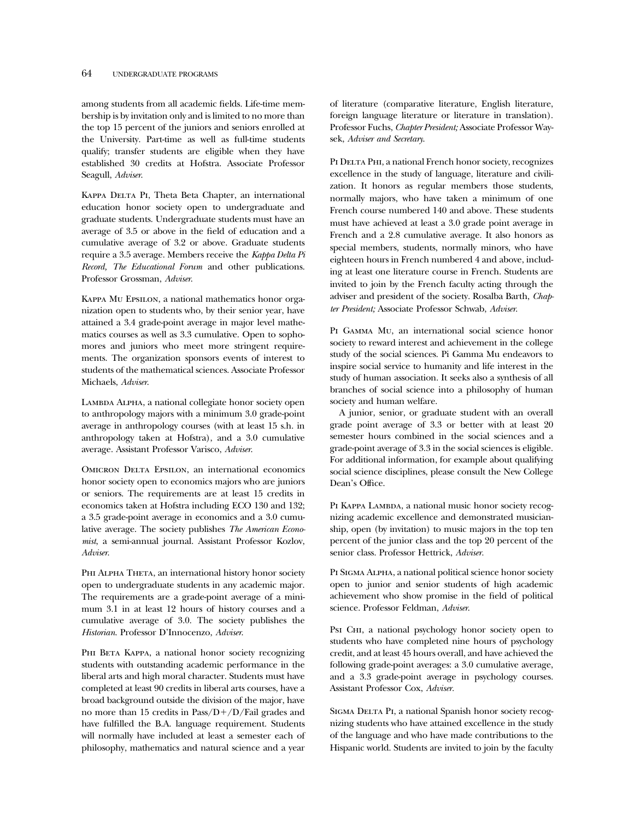among students from all academic fields. Life-time membership is by invitation only and is limited to no more than the top 15 percent of the juniors and seniors enrolled at the University. Part-time as well as full-time students qualify; transfer students are eligible when they have established 30 credits at Hofstra. Associate Professor Seagull, *Adviser*.

KAPPA DELTA PI, Theta Beta Chapter, an international education honor society open to undergraduate and graduate students. Undergraduate students must have an average of 3.5 or above in the field of education and a cumulative average of 3.2 or above. Graduate students require a 3.5 average. Members receive the *Kappa Delta Pi Record, The Educational Forum* and other publications. Professor Grossman, *Adviser*.

Kappa Mu Epsilon, a national mathematics honor organization open to students who, by their senior year, have attained a 3.4 grade-point average in major level mathematics courses as well as 3.3 cumulative. Open to sophomores and juniors who meet more stringent requirements. The organization sponsors events of interest to students of the mathematical sciences. Associate Professor Michaels, *Adviser*.

LAMBDA ALPHA, a national collegiate honor society open to anthropology majors with a minimum 3.0 grade-point average in anthropology courses (with at least 15 s.h. in anthropology taken at Hofstra), and a 3.0 cumulative average. Assistant Professor Varisco, *Adviser*.

OMICRON DELTA EPSILON, an international economics honor society open to economics majors who are juniors or seniors. The requirements are at least 15 credits in economics taken at Hofstra including ECO 130 and 132; a 3.5 grade-point average in economics and a 3.0 cumulative average. The society publishes *The American Economist*, a semi-annual journal. Assistant Professor Kozlov, *Adviser*.

PHI ALPHA THETA, an international history honor society open to undergraduate students in any academic major. The requirements are a grade-point average of a minimum 3.1 in at least 12 hours of history courses and a cumulative average of 3.0. The society publishes the *Historian*. Professor D'Innocenzo, *Adviser*.

PHI BETA KAPPA, a national honor society recognizing students with outstanding academic performance in the liberal arts and high moral character. Students must have completed at least 90 credits in liberal arts courses, have a broad background outside the division of the major, have no more than 15 credits in  $Pass/D+/D/Fail$  grades and have fulfilled the B.A. language requirement. Students will normally have included at least a semester each of philosophy, mathematics and natural science and a year

of literature (comparative literature, English literature, foreign language literature or literature in translation). Professor Fuchs, *Chapter President;* Associate Professor Waysek, *Adviser and Secretary*.

PI DELTA PHI, a national French honor society, recognizes excellence in the study of language, literature and civilization. It honors as regular members those students, normally majors, who have taken a minimum of one French course numbered 140 and above. These students must have achieved at least a 3.0 grade point average in French and a 2.8 cumulative average. It also honors as special members, students, normally minors, who have eighteen hours in French numbered 4 and above, including at least one literature course in French. Students are invited to join by the French faculty acting through the adviser and president of the society. Rosalba Barth, *Chapter President;* Associate Professor Schwab, *Adviser*.

Pi Gamma Mu, an international social science honor society to reward interest and achievement in the college study of the social sciences. Pi Gamma Mu endeavors to inspire social service to humanity and life interest in the study of human association. It seeks also a synthesis of all branches of social science into a philosophy of human society and human welfare.

A junior, senior, or graduate student with an overall grade point average of 3.3 or better with at least 20 semester hours combined in the social sciences and a grade-point average of 3.3 in the social sciences is eligible. For additional information, for example about qualifying social science disciplines, please consult the New College Dean's Office.

PI KAPPA LAMBDA, a national music honor society recognizing academic excellence and demonstrated musicianship, open (by invitation) to music majors in the top ten percent of the junior class and the top 20 percent of the senior class. Professor Hettrick, *Adviser.*

Pi Sigma Alpha, a national political science honor society open to junior and senior students of high academic achievement who show promise in the field of political science. Professor Feldman, *Adviser*.

Psi CHI, a national psychology honor society open to students who have completed nine hours of psychology credit, and at least 45 hours overall, and have achieved the following grade-point averages: a 3.0 cumulative average, and a 3.3 grade-point average in psychology courses. Assistant Professor Cox, *Adviser.*

SIGMA DELTA PI, a national Spanish honor society recognizing students who have attained excellence in the study of the language and who have made contributions to the Hispanic world. Students are invited to join by the faculty